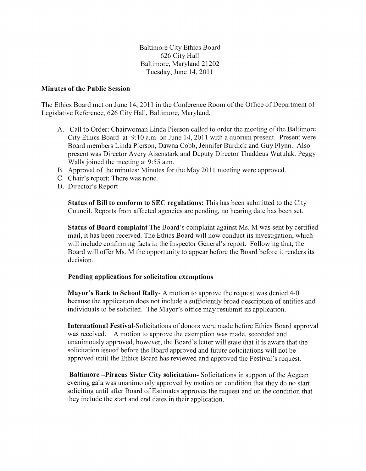Baltimore City Ethics Board 626 City Hall Baltimore, Maryland 21202 Tuesday, June 14, 2011

## **Minutes of the Public Session**

The Ethics Board met on June 14, 2011 in the Conference Room of the Office of Department of Legislative Reference, 626 City Hall, Baltimore, Maryland.

- A. Call to Order: Chairwoman Linda Pierson called to order the meeting of the Baltimore City Ethics Board at  $9:10$  a.m. on June 14, 2011 with a quorum present. Present were Board members Linda Pierson, Dawna Cobb, Jennifer Burdick and Guy Flynn. Also present was Director Avery Aisenstark and Deputy Director Thaddeus Watulak. Peggy Walls joined the meeting at 9:55 a.m.
- B. Approval of the minutes: Minutes for the May 2011 meeting were approved.
- C. Chair's report: There was none.
- D. Director's Report

**Status of Bill to conform to SEC regulations:** This has been submitted to the City Council. Reports from affected agencies are pending, no hearing date has been set.

**Status of Board complaint** The Board's complaint against Ms. M was sent by certified mail, it has been received. The Ethics Board will now conduct its investigation, which will include confirming facts in the Inspector General's report. Following that, the Board will offer Ms. M the opportunity to appear before the Board before it renders its decision.

## **Pending applications for solicitation exemptions**

**Mayor's Back to School Rally-** A motion to approve the request was denied 4-0 because the application does not include a sufficiently broad description of entities and individuals to be solicited. The Mayor's office may resubmit its application.

**International** Festival-Solicitations of donors were made before Ethics Board approval was received. A motion to approve the exemption was made, seconded and unanimously approved, however, the Board's letter will state that it is aware that the solicitation issued before the Board approved and future solicitations will not be approved until the Ethics Board has reviewed and approved the Festival's request.

**Baltimore -Piraeus Sister City solicitation-** Solicitations in support of the Aegean evening gala was unanimously approved by motion on condition that they do no start soliciting until after Board of Estimates approves the request and on the condition that they include the start and end dates in their application.